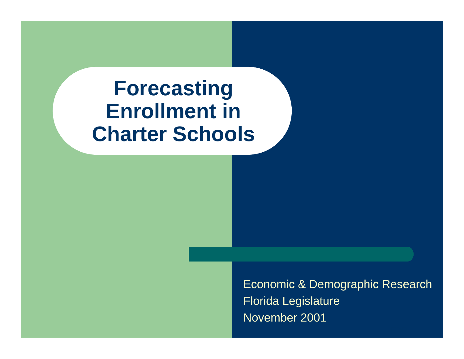## **Forecasting Enrollment in Charter Schools**

Economic & Demographic Research Florida Legislature November 2001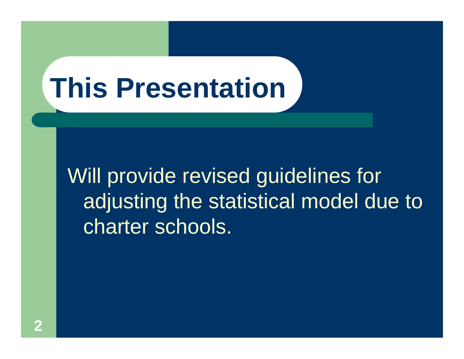# **This Presentation**

Will provide revised guidelines for adjusting the statistical model due to charter schools.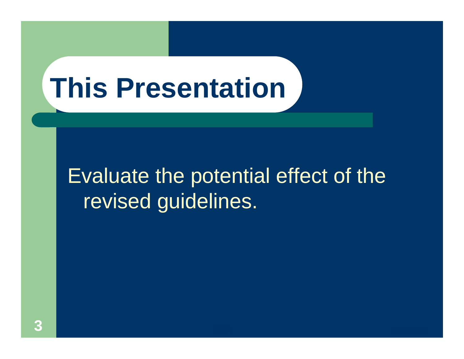## **This Presentation**

## Evaluate the potential effect of the revised guidelines.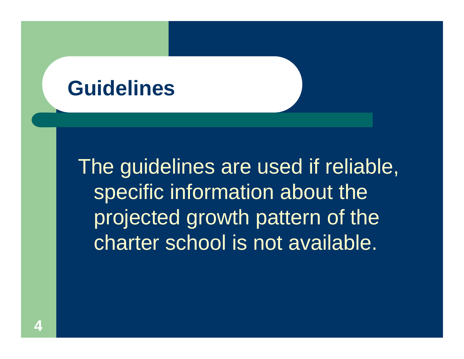### **Guidelines**

The guidelines are used if reliable, specific information about the projected growth pattern of the charter school is not available.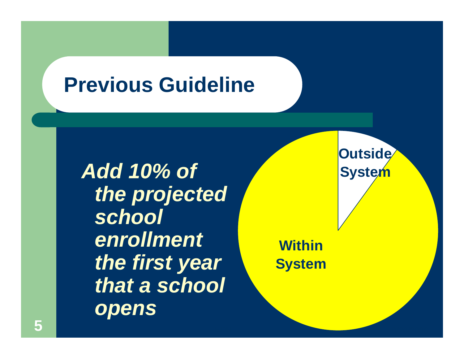## **Previous Guideline**

*Add 10% of the projected school enrollment the first year that a school opens*

**Within System**

9/20/2012 12:00:00 to 10:00 percent and the second control of the second control of the second control of the

**Outside System**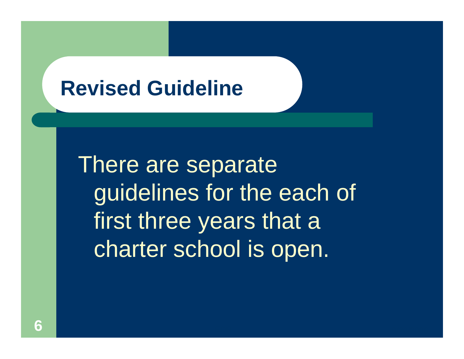### **Revised Guideline**

There are separate guidelines for the each of first three years that a charter school is open.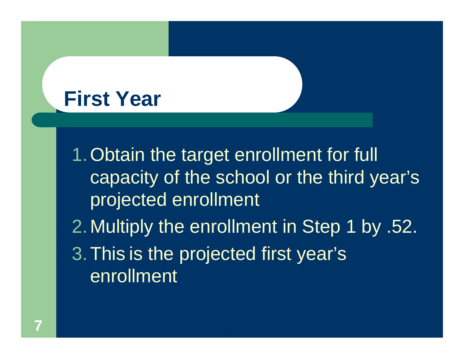## **First Year**

1.Obtain the target enrollment for full capacity of the school or the third year's projected enrollment 2.Multiply the enrollment in Step 1 by .52. 3.This is the projected first year's enrollment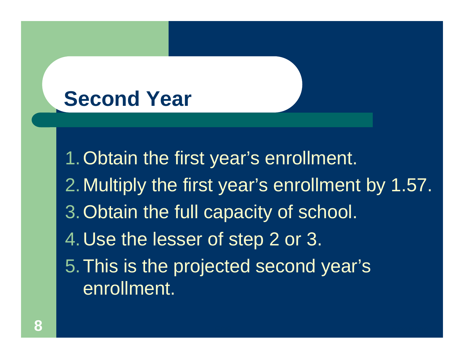## **Second Year**

1.Obtain the first year's enrollment. 2.Multiply the first year's enrollment by 1.57. 3.Obtain the full capacity of school. 4.Use the lesser of step 2 or 3. 5.This is the projected second year's enrollment.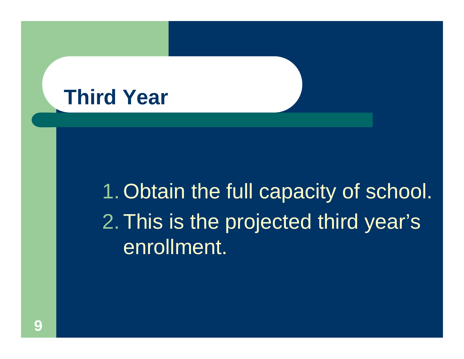## **Third Year**

## 1. Obtain the full capacity of school. 2. This is the projected third year's enrollment.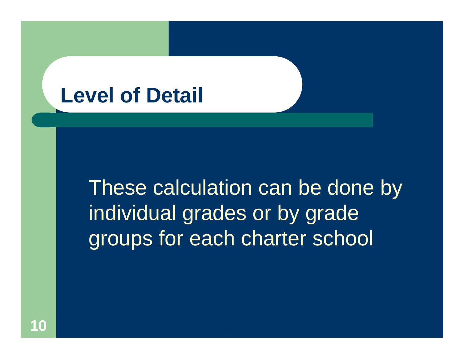## **Level of Detail**

These calculation can be done by individual grades or by grade groups for each charter school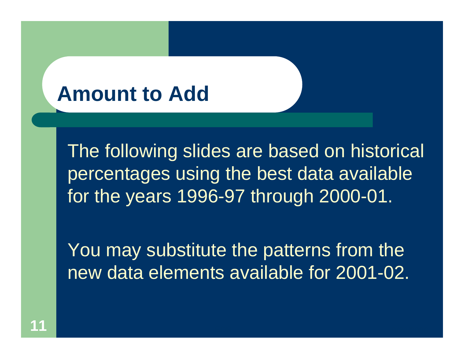## **Amount to Add**

The following slides are based on historical percentages using the best data available for the years 1996-97 through 2000-01.

You may substitute the patterns from the new data elements available for 2001-02.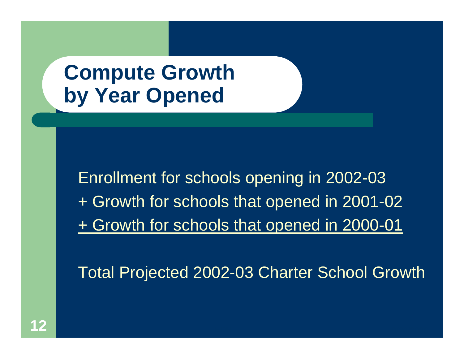## **Compute Growth by Year Opened**

Enrollment for schools opening in 2002-03 + Growth for schools that opened in 2001-02 + Growth for schools that opened in 2000-01

Total Projected 2002-03 Charter School Growth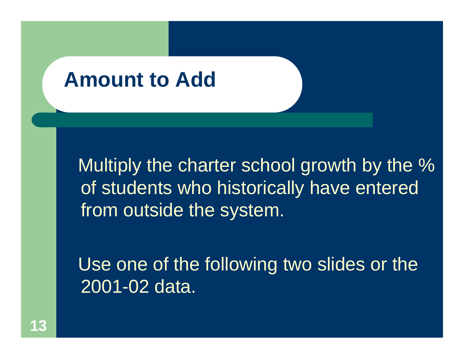### **Amount to Add**

Multiply the charter school growth by the % of students who historically have entered from outside the system.

Use one of the following two slides or the 2001-02 data.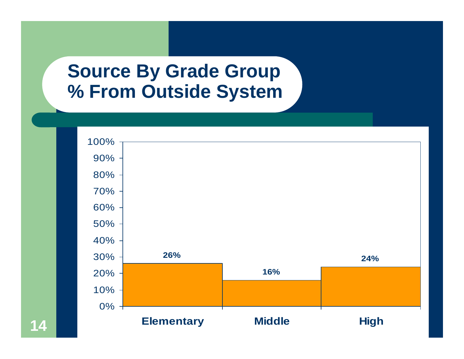#### **Source By Grade Group % From Outside System**



**14**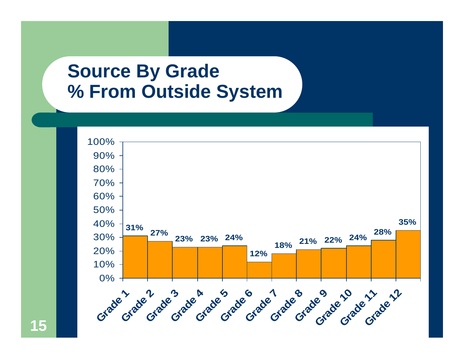#### **Source By Grade % From Outside System**



**15**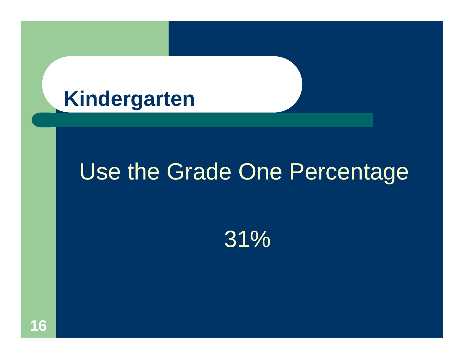## **Kindergarten**

## Use the Grade One Percentage

31%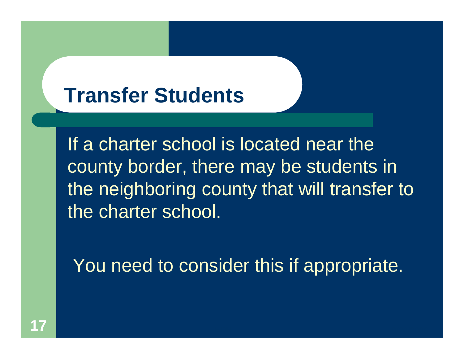## **Transfer Students**

If a charter school is located near the county border, there may be students in the neighboring county that will transfer to the charter school.

You need to consider this if appropriate.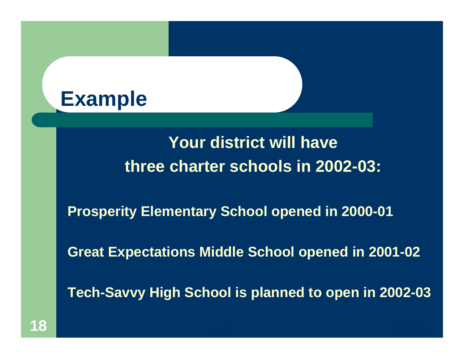

#### **Your district will have three charter schools in 2002-03:**

**Prosperity Elementary School opened in 2000-01**

**Great Expectations Middle School opened in 2001-02**

**Tech-Savvy High School is planned to open in 2002-03**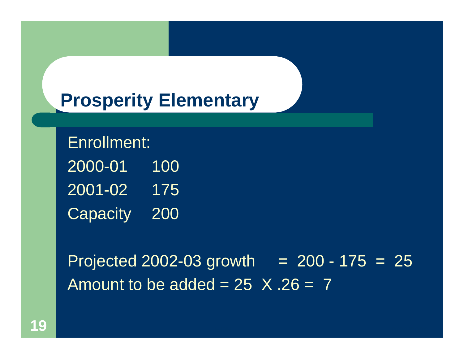#### **Prosperity Elementary**

Enrollment: 2000-01 100 2001-02 175Capacity 200

Projected 2002-03 growth  $= 200 - 175 = 25$ Amount to be added =  $25 \times .26 = 7$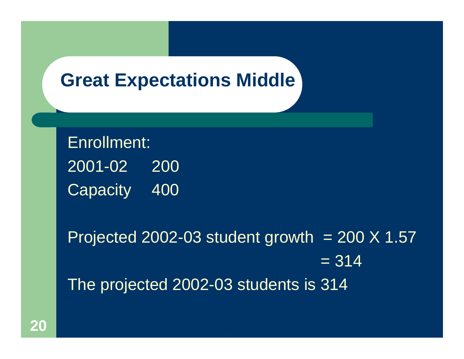#### **Great Expectations Middle**

Enrollment:  $2001 - 02$ 200 Capacity 400

Projected 2002-03 student growth  $= 200 \times 1.57$  $= 314$ The projected 2002-03 students is 314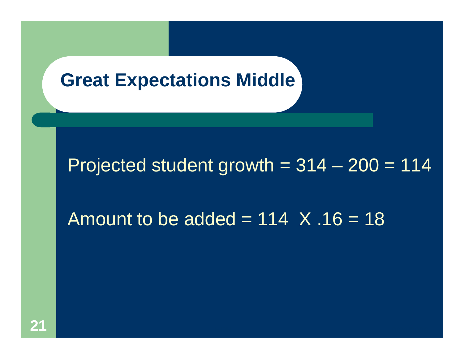#### **Great Expectations Middle**

#### Projected student growth  $= 314 - 200 = 114$

#### Amount to be added =  $114 \times .16 = 18$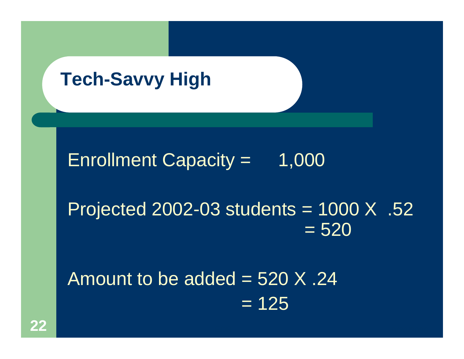#### **Tech-Savvy High**

Enrollment Capacity  $=$  1,000

Projected 2002-03 students = 1000 X .52  $= 520$ 

Amount to be added  $=$  520 X .24  $= 125$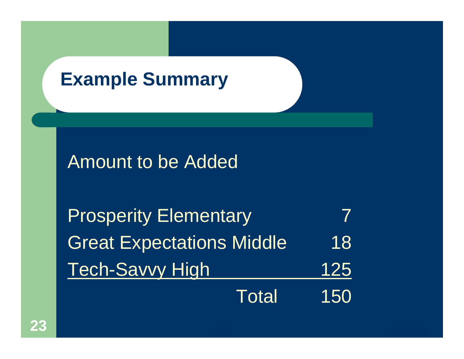## **Example Summary**

#### Amount to be Added

| <b>Prosperity Elementary</b>     |     |
|----------------------------------|-----|
| <b>Great Expectations Middle</b> | 18  |
| <b>Tech-Savvy High</b>           | 125 |
| <b>Total</b>                     | 150 |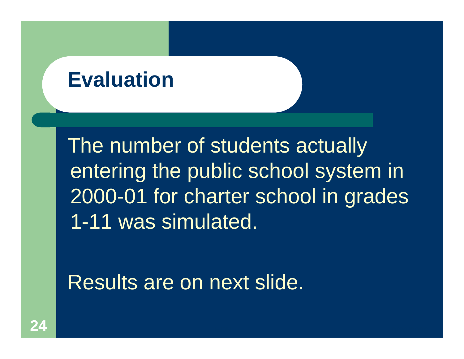## **Evaluation**

The number of students actually entering the public school system in 2000-01 for charter school in grades 1-11 was simulated.

Results are on next slide.